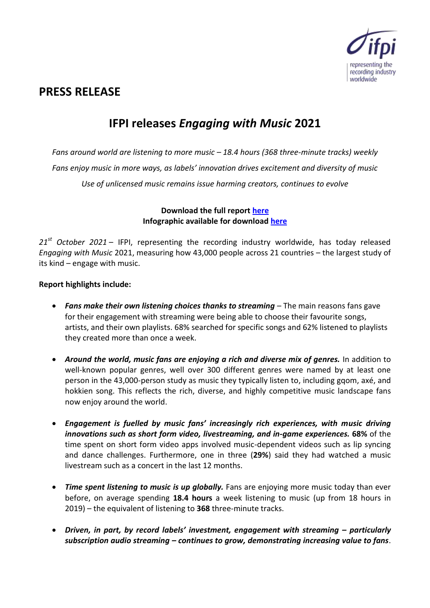

# **PRESS RELEASE**

# **IFPI releases** *Engaging with Music* **2021**

*Fans around world are listening to more music – 18.4 hours (368 three-minute tracks) weekly Fans enjoy music in more ways, as labels' innovation drives excitement and diversity of music Use of unlicensed music remains issue harming creators, continues to evolve*

> **Download the full report [here](https://www.ifpi.org/ifpi-engaging-with-music-report/) Infographic available for downloa[d here](https://www.ifpi.org/ifpi-engaging-with-music-poster/)**

*21st October 2021* – IFPI, representing the recording industry worldwide, has today released *Engaging with Music* 2021, measuring how 43,000 people across 21 countries – the largest study of its kind – engage with music.

### **Report highlights include:**

- *Fans make their own listening choices thanks to streaming* The main reasons fans gave for their engagement with streaming were being able to choose their favourite songs, artists, and their own playlists. 68% searched for specific songs and 62% listened to playlists they created more than once a week.
- *Around the world, music fans are enjoying a rich and diverse mix of genres.* In addition to well-known popular genres, well over 300 different genres were named by at least one person in the 43,000-person study as music they typically listen to, including gqom, axé, and hokkien song. This reflects the rich, diverse, and highly competitive music landscape fans now enjoy around the world.
- *Engagement is fuelled by music fans' increasingly rich experiences, with music driving innovations such as short form video, livestreaming, and in-game experiences.* **68%** of the time spent on short form video apps involved music-dependent videos such as lip syncing and dance challenges. Furthermore, one in three (**29%**) said they had watched a music livestream such as a concert in the last 12 months.
- Time spent listening to music is up globally. Fans are enjoying more music today than ever before, on average spending **18.4 hours** a week listening to music (up from 18 hours in 2019) – the equivalent of listening to **368** three-minute tracks.
- **•** Driven, in part, by record labels' investment, engagement with streaming particularly *subscription audio streaming – continues to grow, demonstrating increasing value to fans*.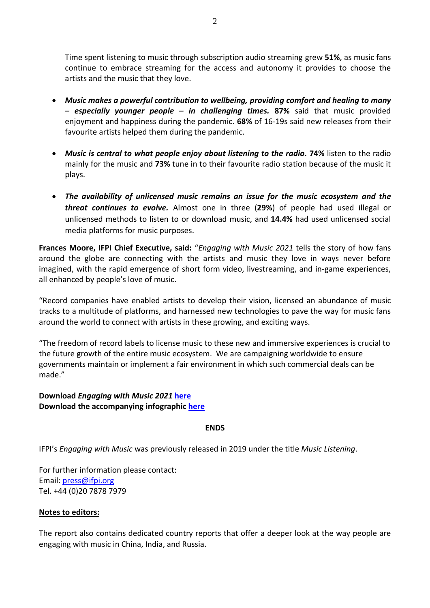Time spent listening to music through subscription audio streaming grew **51%**, as music fans continue to embrace streaming for the access and autonomy it provides to choose the artists and the music that they love.

- *Music makes a powerful contribution to wellbeing, providing comfort and healing to many – especially younger people – in challenging times.* **87%** said that music provided enjoyment and happiness during the pandemic. **68%** of 16-19s said new releases from their favourite artists helped them during the pandemic.
- *Music is central to what people enjoy about listening to the radio.* **74%** listen to the radio mainly for the music and **73%** tune in to their favourite radio station because of the music it plays.
- *The availability of unlicensed music remains an issue for the music ecosystem and the threat continues to evolve.* Almost one in three (**29%**) of people had used illegal or unlicensed methods to listen to or download music, and **14.4%** had used unlicensed social media platforms for music purposes.

**Frances Moore, IFPI Chief Executive, said:** "*Engaging with Music 2021* tells the story of how fans around the globe are connecting with the artists and music they love in ways never before imagined, with the rapid emergence of short form video, livestreaming, and in-game experiences, all enhanced by people's love of music.

"Record companies have enabled artists to develop their vision, licensed an abundance of music tracks to a multitude of platforms, and harnessed new technologies to pave the way for music fans around the world to connect with artists in these growing, and exciting ways.

"The freedom of record labels to license music to these new and immersive experiences is crucial to the future growth of the entire music ecosystem. We are campaigning worldwide to ensure governments maintain or implement a fair environment in which such commercial deals can be made."

# **Download** *Engaging with Music 2021* **[here](https://www.ifpi.org/ifpi-engaging-with-music-report/) Download the accompanying infographic [here](https://www.ifpi.org/ifpi-engaging-with-music-poster/)**

#### **ENDS**

IFPI's *Engaging with Music* was previously released in 2019 under the title *Music Listening*.

For further information please contact: Email: [press@ifpi.org](mailto:press@ifpi.org) Tel. +44 (0)20 7878 7979

# **Notes to editors:**

The report also contains dedicated country reports that offer a deeper look at the way people are engaging with music in China, India, and Russia.